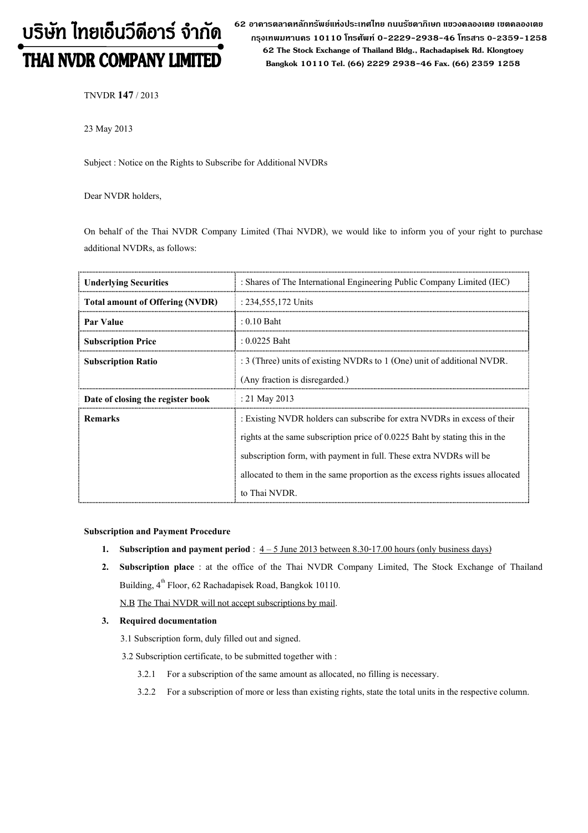# บริษัท ไทยเอ็นวีดีอาร์ จำกัด THAI NVDR COMPANY LIMITED

62 อาดารตลาดหลักทรัพย์แห่งประเทศไทย ถนนรัซดาภิเษก แขวงดลองเตย เขตดลองเตย กรุงเทพมหานดร 10110 โทรศัพท์ 0-2229-2938-46 โทรสาร 0-2359-1258 62 The Stock Exchange of Thailand Bldg., Rachadapisek Rd. Klongtoey Bangkok 10110 Tel. (66) 2229 2938-46 Fax. (66) 2359 1258

TNVDR 147/ 2013

23 May 2013

Subject : Notice on the Rights to Subscribe for Additional NVDRs

Dear NVDR holders,

On behalf of the Thai NVDR Company Limited (Thai NVDR), we would like to inform you of your right to purchase additional NVDRs, as follows:

| <b>Underlying Securities</b>           | : Shares of The International Engineering Public Company Limited (IEC)         |
|----------------------------------------|--------------------------------------------------------------------------------|
| <b>Total amount of Offering (NVDR)</b> | : 234,555,172 Units                                                            |
| Par Value                              | $: 0.10$ Baht                                                                  |
| <b>Subscription Price</b>              | : $0.0225$ Baht                                                                |
| <b>Subscription Ratio</b>              | : 3 (Three) units of existing NVDRs to 1 (One) unit of additional NVDR.        |
|                                        | (Any fraction is disregarded.)                                                 |
| Date of closing the register book      | : 21 May 2013                                                                  |
| <b>Remarks</b>                         | : Existing NVDR holders can subscribe for extra NVDRs in excess of their       |
|                                        | rights at the same subscription price of $0.0225$ Baht by stating this in the  |
|                                        | subscription form, with payment in full. These extra NVDRs will be             |
|                                        | allocated to them in the same proportion as the excess rights issues allocated |
|                                        | to Thai NVDR.                                                                  |

#### Subscription and Payment Procedure

- 1. Subscription and payment period :  $4 5$  June 2013 between 8.30-17.00 hours (only business days)
- 2. Subscription place : at the office of the Thai NVDR Company Limited, The Stock Exchange of Thailand Building, 4<sup>th</sup> Floor, 62 Rachadapisek Road, Bangkok 10110.

N.B The Thai NVDR will not accept subscriptions by mail.

## 3. Required documentation

- 3.1 Subscription form, duly filled out and signed.
- 3.2 Subscription certificate, to be submitted together with :
	- 3.2.1 For a subscription of the same amount as allocated, no filling is necessary.
	- 3.2.2 For a subscription of more or less than existing rights, state the total units in the respective column.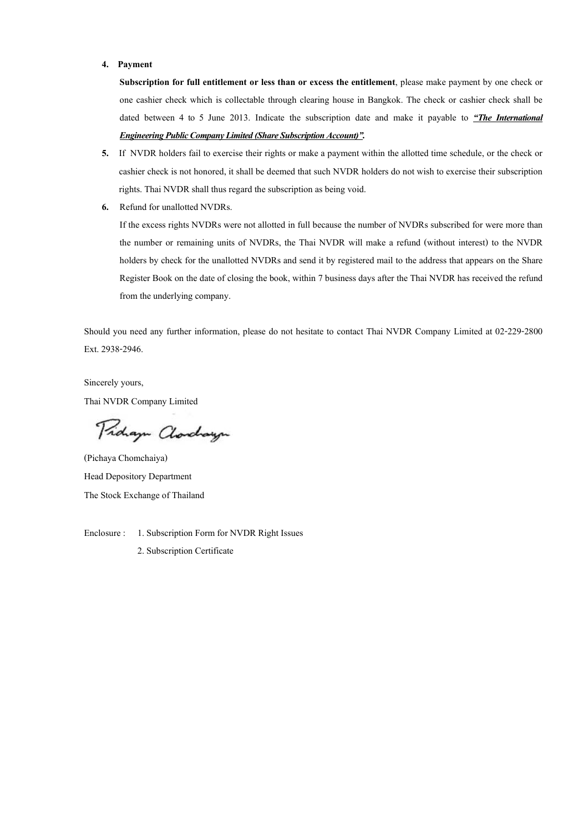#### 4. Payment

Subscription for full entitlement or less than or excess the entitlement, please make payment by one check or one cashier check which is collectable through clearing house in Bangkok. The check or cashier check shall be dated between 4 to 5 June 2013. Indicate the subscription date and make it payable to  $H$ rhe International **Engineering Public Company Limited (Share Subscription Account)".** 

- 5. If NVDR holders fail to exercise their rights or make a payment within the allotted time schedule, or the check or cashier check is not honored, it shall be deemed that such NVDR holders do not wish to exercise their subscription rights. Thai NVDR shall thus regard the subscription as being void.
- 6. Refund for unallotted NVDRs.

If the excess rights NVDRs were not allotted in full because the number of NVDRs subscribed for were more than the number or remaining units of NVDRs, the Thai NVDR will make a refund (without interest) to the NVDR holders by check for the unallotted NVDRs and send it by registered mail to the address that appears on the Share Register Book on the date of closing the book, within 7 business days after the Thai NVDR has received the refund from the underlying company.

Should you need any further information, please do not hesitate to contact Thai NVDR Company Limited at 02-229-2800 Ext. 2938-2946.

Sincerely yours, Thai NVDR Company Limited

Proham Clorchayn

(Pichaya Chomchaiya) Head Depository Department The Stock Exchange of Thailand

Enclosure : 1. Subscription Form for NVDR Right Issues 2. Subscription Certificate